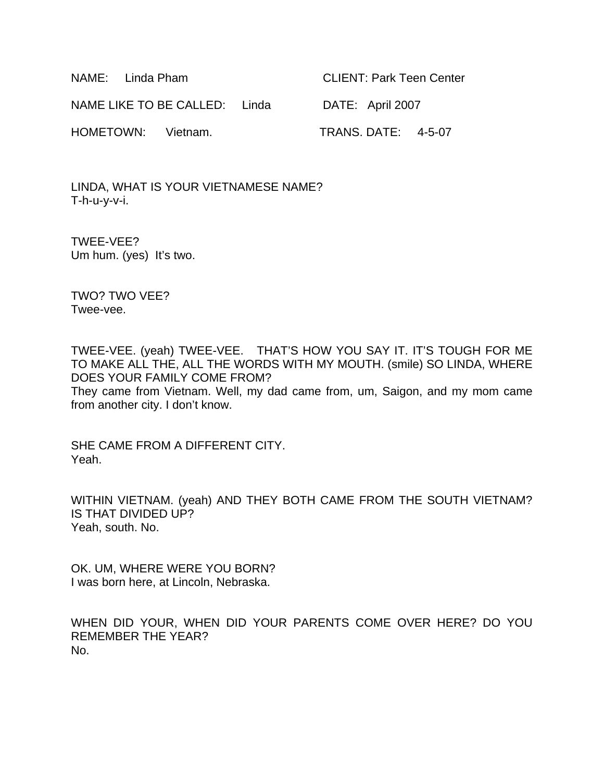NAME: Linda Pham CLIENT: Park Teen Center NAME LIKE TO BE CALLED: Linda DATE: April 2007 HOMETOWN: Vietnam. TRANS. DATE: 4-5-07

LINDA, WHAT IS YOUR VIETNAMESE NAME? T-h-u-y-v-i.

TWEE-VEE? Um hum. (yes) It's two.

TWO? TWO VEE? Twee-vee.

TWEE-VEE. (yeah) TWEE-VEE. THAT'S HOW YOU SAY IT. IT'S TOUGH FOR ME TO MAKE ALL THE, ALL THE WORDS WITH MY MOUTH. (smile) SO LINDA, WHERE DOES YOUR FAMILY COME FROM? They came from Vietnam. Well, my dad came from, um, Saigon, and my mom came from another city. I don't know.

SHE CAME FROM A DIFFERENT CITY. Yeah.

WITHIN VIETNAM. (yeah) AND THEY BOTH CAME FROM THE SOUTH VIETNAM? IS THAT DIVIDED UP? Yeah, south. No.

OK. UM, WHERE WERE YOU BORN? I was born here, at Lincoln, Nebraska.

WHEN DID YOUR, WHEN DID YOUR PARENTS COME OVER HERE? DO YOU REMEMBER THE YEAR? No.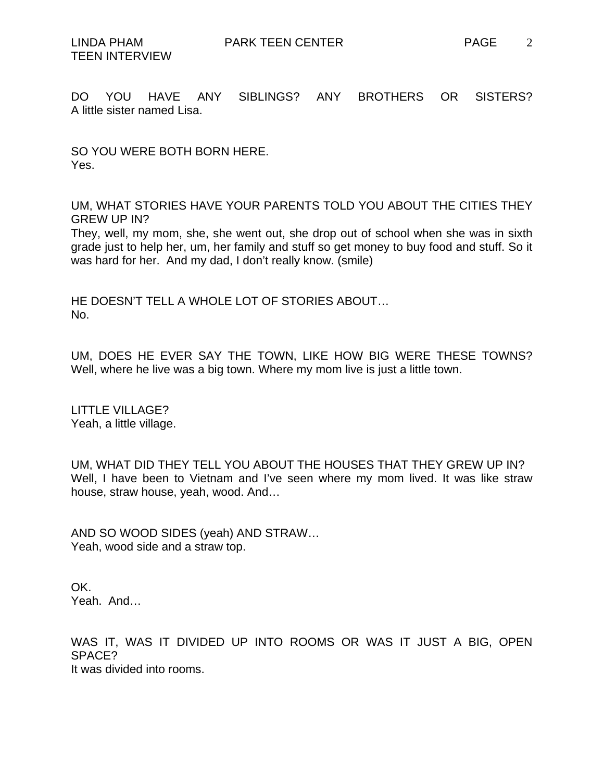DO YOU HAVE ANY SIBLINGS? ANY BROTHERS OR SISTERS? A little sister named Lisa.

SO YOU WERE BOTH BORN HERE. Yes.

UM, WHAT STORIES HAVE YOUR PARENTS TOLD YOU ABOUT THE CITIES THEY GREW UP IN?

They, well, my mom, she, she went out, she drop out of school when she was in sixth grade just to help her, um, her family and stuff so get money to buy food and stuff. So it was hard for her. And my dad, I don't really know. (smile)

HE DOESN'T TELL A WHOLE LOT OF STORIES ABOUT… No.

UM, DOES HE EVER SAY THE TOWN, LIKE HOW BIG WERE THESE TOWNS? Well, where he live was a big town. Where my mom live is just a little town.

LITTLE VILLAGE? Yeah, a little village.

UM, WHAT DID THEY TELL YOU ABOUT THE HOUSES THAT THEY GREW UP IN? Well, I have been to Vietnam and I've seen where my mom lived. It was like straw house, straw house, yeah, wood. And…

AND SO WOOD SIDES (yeah) AND STRAW… Yeah, wood side and a straw top.

OK. Yeah. And…

WAS IT, WAS IT DIVIDED UP INTO ROOMS OR WAS IT JUST A BIG, OPEN SPACE? It was divided into rooms.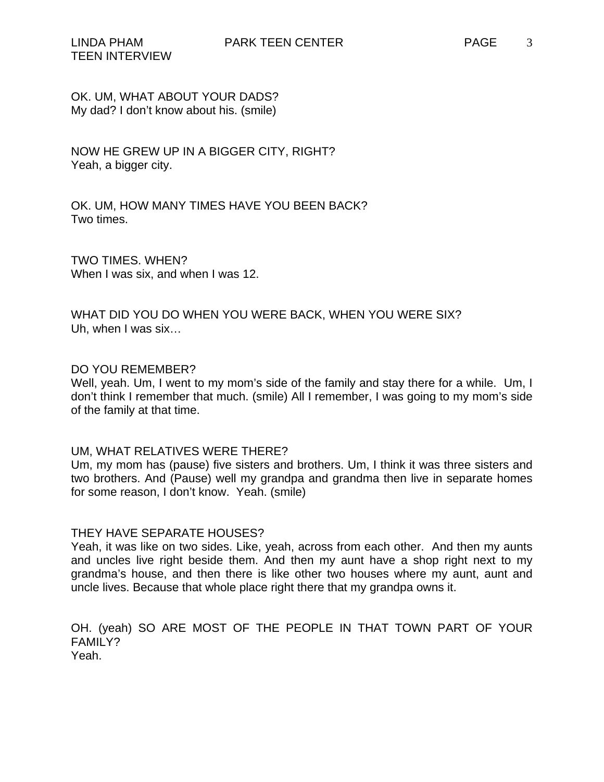# OK. UM, WHAT ABOUT YOUR DADS? My dad? I don't know about his. (smile)

NOW HE GREW UP IN A BIGGER CITY, RIGHT? Yeah, a bigger city.

OK. UM, HOW MANY TIMES HAVE YOU BEEN BACK? Two times.

TWO TIMES. WHEN? When I was six, and when I was 12.

WHAT DID YOU DO WHEN YOU WERE BACK, WHEN YOU WERE SIX? Uh, when I was six…

### DO YOU REMEMBER?

Well, yeah. Um, I went to my mom's side of the family and stay there for a while. Um, I don't think I remember that much. (smile) All I remember, I was going to my mom's side of the family at that time.

#### UM, WHAT RELATIVES WERE THERE?

Um, my mom has (pause) five sisters and brothers. Um, I think it was three sisters and two brothers. And (Pause) well my grandpa and grandma then live in separate homes for some reason, I don't know. Yeah. (smile)

#### THEY HAVE SEPARATE HOUSES?

Yeah, it was like on two sides. Like, yeah, across from each other. And then my aunts and uncles live right beside them. And then my aunt have a shop right next to my grandma's house, and then there is like other two houses where my aunt, aunt and uncle lives. Because that whole place right there that my grandpa owns it.

OH. (yeah) SO ARE MOST OF THE PEOPLE IN THAT TOWN PART OF YOUR FAMILY? Yeah.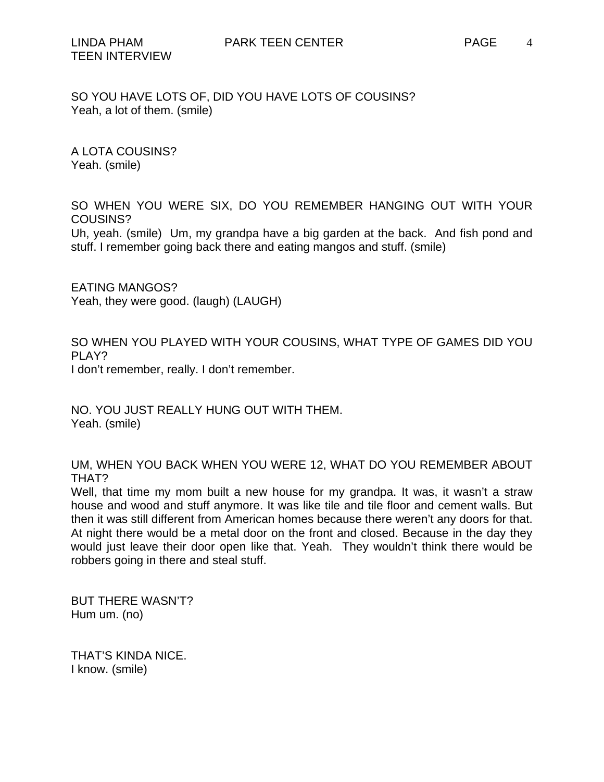SO YOU HAVE LOTS OF, DID YOU HAVE LOTS OF COUSINS? Yeah, a lot of them. (smile)

A LOTA COUSINS? Yeah. (smile)

SO WHEN YOU WERE SIX, DO YOU REMEMBER HANGING OUT WITH YOUR COUSINS?

Uh, yeah. (smile) Um, my grandpa have a big garden at the back. And fish pond and stuff. I remember going back there and eating mangos and stuff. (smile)

EATING MANGOS? Yeah, they were good. (laugh) (LAUGH)

SO WHEN YOU PLAYED WITH YOUR COUSINS, WHAT TYPE OF GAMES DID YOU PLAY? I don't remember, really. I don't remember.

NO. YOU JUST REALLY HUNG OUT WITH THEM. Yeah. (smile)

UM, WHEN YOU BACK WHEN YOU WERE 12, WHAT DO YOU REMEMBER ABOUT THAT?

Well, that time my mom built a new house for my grandpa. It was, it wasn't a straw house and wood and stuff anymore. It was like tile and tile floor and cement walls. But then it was still different from American homes because there weren't any doors for that. At night there would be a metal door on the front and closed. Because in the day they would just leave their door open like that. Yeah. They wouldn't think there would be robbers going in there and steal stuff.

BUT THERE WASN'T? Hum um. (no)

THAT'S KINDA NICE. I know. (smile)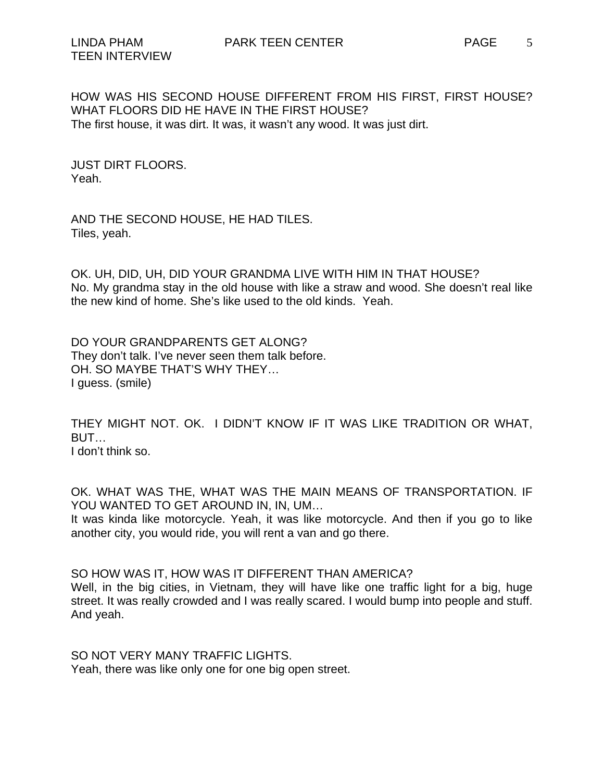HOW WAS HIS SECOND HOUSE DIFFERENT FROM HIS FIRST, FIRST HOUSE? WHAT FLOORS DID HE HAVE IN THE FIRST HOUSE? The first house, it was dirt. It was, it wasn't any wood. It was just dirt.

JUST DIRT FLOORS. Yeah.

AND THE SECOND HOUSE, HE HAD TILES. Tiles, yeah.

OK. UH, DID, UH, DID YOUR GRANDMA LIVE WITH HIM IN THAT HOUSE? No. My grandma stay in the old house with like a straw and wood. She doesn't real like the new kind of home. She's like used to the old kinds. Yeah.

DO YOUR GRANDPARENTS GET ALONG? They don't talk. I've never seen them talk before. OH. SO MAYBE THAT'S WHY THEY… I guess. (smile)

THEY MIGHT NOT. OK. I DIDN'T KNOW IF IT WAS LIKE TRADITION OR WHAT, BUT… I don't think so.

OK. WHAT WAS THE, WHAT WAS THE MAIN MEANS OF TRANSPORTATION. IF YOU WANTED TO GET AROUND IN, IN, UM...

It was kinda like motorcycle. Yeah, it was like motorcycle. And then if you go to like another city, you would ride, you will rent a van and go there.

SO HOW WAS IT, HOW WAS IT DIFFERENT THAN AMERICA?

Well, in the big cities, in Vietnam, they will have like one traffic light for a big, huge street. It was really crowded and I was really scared. I would bump into people and stuff. And yeah.

SO NOT VERY MANY TRAFFIC LIGHTS. Yeah, there was like only one for one big open street.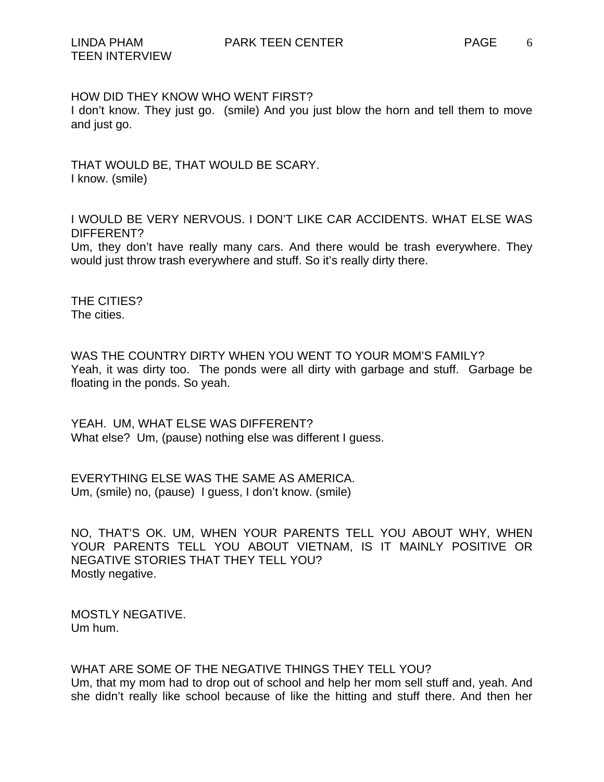HOW DID THEY KNOW WHO WENT FIRST?

I don't know. They just go. (smile) And you just blow the horn and tell them to move and just go.

THAT WOULD BE, THAT WOULD BE SCARY. I know. (smile)

I WOULD BE VERY NERVOUS. I DON'T LIKE CAR ACCIDENTS. WHAT ELSE WAS DIFFERENT?

Um, they don't have really many cars. And there would be trash everywhere. They would just throw trash everywhere and stuff. So it's really dirty there.

THE CITIES? The cities.

WAS THE COUNTRY DIRTY WHEN YOU WENT TO YOUR MOM'S FAMILY? Yeah, it was dirty too. The ponds were all dirty with garbage and stuff. Garbage be floating in the ponds. So yeah.

YEAH. UM, WHAT ELSE WAS DIFFERENT? What else? Um, (pause) nothing else was different I guess.

EVERYTHING ELSE WAS THE SAME AS AMERICA. Um, (smile) no, (pause) I guess, I don't know. (smile)

NO, THAT'S OK. UM, WHEN YOUR PARENTS TELL YOU ABOUT WHY, WHEN YOUR PARENTS TELL YOU ABOUT VIETNAM, IS IT MAINLY POSITIVE OR NEGATIVE STORIES THAT THEY TELL YOU? Mostly negative.

MOSTLY NEGATIVE. Um hum.

WHAT ARE SOME OF THE NEGATIVE THINGS THEY TELL YOU? Um, that my mom had to drop out of school and help her mom sell stuff and, yeah. And she didn't really like school because of like the hitting and stuff there. And then her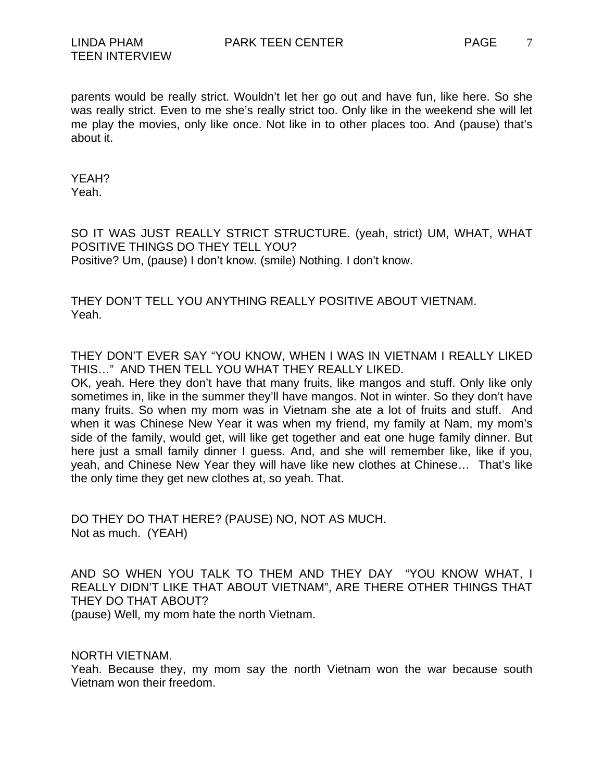parents would be really strict. Wouldn't let her go out and have fun, like here. So she was really strict. Even to me she's really strict too. Only like in the weekend she will let me play the movies, only like once. Not like in to other places too. And (pause) that's about it.

YEAH? Yeah.

SO IT WAS JUST REALLY STRICT STRUCTURE. (yeah, strict) UM, WHAT, WHAT POSITIVE THINGS DO THEY TELL YOU? Positive? Um, (pause) I don't know. (smile) Nothing. I don't know.

THEY DON'T TELL YOU ANYTHING REALLY POSITIVE ABOUT VIETNAM. Yeah.

THEY DON'T EVER SAY "YOU KNOW, WHEN I WAS IN VIETNAM I REALLY LIKED THIS…" AND THEN TELL YOU WHAT THEY REALLY LIKED.

OK, yeah. Here they don't have that many fruits, like mangos and stuff. Only like only sometimes in, like in the summer they'll have mangos. Not in winter. So they don't have many fruits. So when my mom was in Vietnam she ate a lot of fruits and stuff. And when it was Chinese New Year it was when my friend, my family at Nam, my mom's side of the family, would get, will like get together and eat one huge family dinner. But here just a small family dinner I guess. And, and she will remember like, like if you, yeah, and Chinese New Year they will have like new clothes at Chinese… That's like the only time they get new clothes at, so yeah. That.

DO THEY DO THAT HERE? (PAUSE) NO, NOT AS MUCH. Not as much. (YEAH)

AND SO WHEN YOU TALK TO THEM AND THEY DAY "YOU KNOW WHAT, I REALLY DIDN'T LIKE THAT ABOUT VIETNAM", ARE THERE OTHER THINGS THAT THEY DO THAT ABOUT?

(pause) Well, my mom hate the north Vietnam.

NORTH VIETNAM.

Yeah. Because they, my mom say the north Vietnam won the war because south Vietnam won their freedom.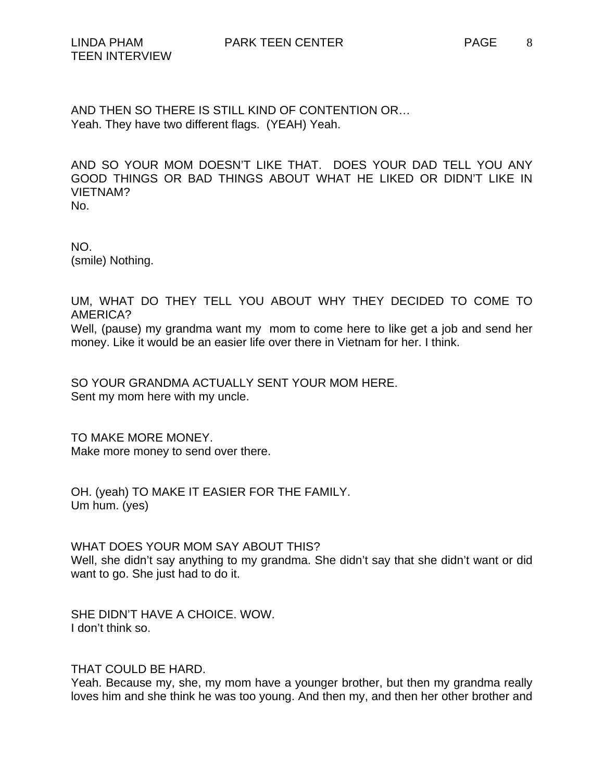AND THEN SO THERE IS STILL KIND OF CONTENTION OR… Yeah. They have two different flags. (YEAH) Yeah.

AND SO YOUR MOM DOESN'T LIKE THAT. DOES YOUR DAD TELL YOU ANY GOOD THINGS OR BAD THINGS ABOUT WHAT HE LIKED OR DIDN'T LIKE IN VIETNAM? No.

NO. (smile) Nothing.

UM, WHAT DO THEY TELL YOU ABOUT WHY THEY DECIDED TO COME TO AMERICA? Well, (pause) my grandma want my mom to come here to like get a job and send her money. Like it would be an easier life over there in Vietnam for her. I think.

SO YOUR GRANDMA ACTUALLY SENT YOUR MOM HERE. Sent my mom here with my uncle.

TO MAKE MORE MONEY. Make more money to send over there.

OH. (yeah) TO MAKE IT EASIER FOR THE FAMILY. Um hum. (yes)

WHAT DOES YOUR MOM SAY ABOUT THIS? Well, she didn't say anything to my grandma. She didn't say that she didn't want or did want to go. She just had to do it.

SHE DIDN'T HAVE A CHOICE. WOW. I don't think so.

THAT COULD BE HARD.

Yeah. Because my, she, my mom have a younger brother, but then my grandma really loves him and she think he was too young. And then my, and then her other brother and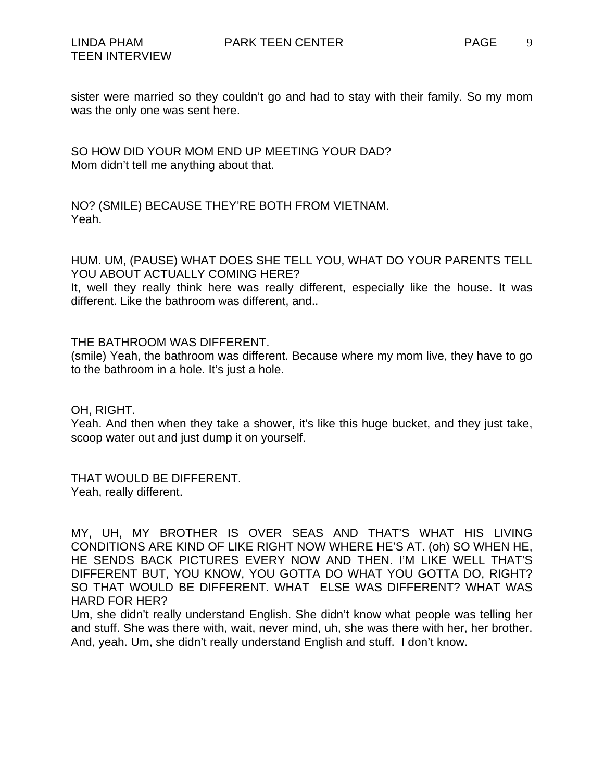9

sister were married so they couldn't go and had to stay with their family. So my mom was the only one was sent here.

SO HOW DID YOUR MOM END UP MEETING YOUR DAD? Mom didn't tell me anything about that.

NO? (SMILE) BECAUSE THEY'RE BOTH FROM VIETNAM. Yeah.

HUM. UM, (PAUSE) WHAT DOES SHE TELL YOU, WHAT DO YOUR PARENTS TELL YOU ABOUT ACTUALLY COMING HERE?

It, well they really think here was really different, especially like the house. It was different. Like the bathroom was different, and..

THE BATHROOM WAS DIFFERENT.

(smile) Yeah, the bathroom was different. Because where my mom live, they have to go to the bathroom in a hole. It's just a hole.

OH, RIGHT.

Yeah. And then when they take a shower, it's like this huge bucket, and they just take, scoop water out and just dump it on yourself.

THAT WOULD BE DIFFERENT. Yeah, really different.

MY, UH, MY BROTHER IS OVER SEAS AND THAT'S WHAT HIS LIVING CONDITIONS ARE KIND OF LIKE RIGHT NOW WHERE HE'S AT. (oh) SO WHEN HE, HE SENDS BACK PICTURES EVERY NOW AND THEN. I'M LIKE WELL THAT'S DIFFERENT BUT, YOU KNOW, YOU GOTTA DO WHAT YOU GOTTA DO, RIGHT? SO THAT WOULD BE DIFFERENT. WHAT ELSE WAS DIFFERENT? WHAT WAS HARD FOR HER?

Um, she didn't really understand English. She didn't know what people was telling her and stuff. She was there with, wait, never mind, uh, she was there with her, her brother. And, yeah. Um, she didn't really understand English and stuff. I don't know.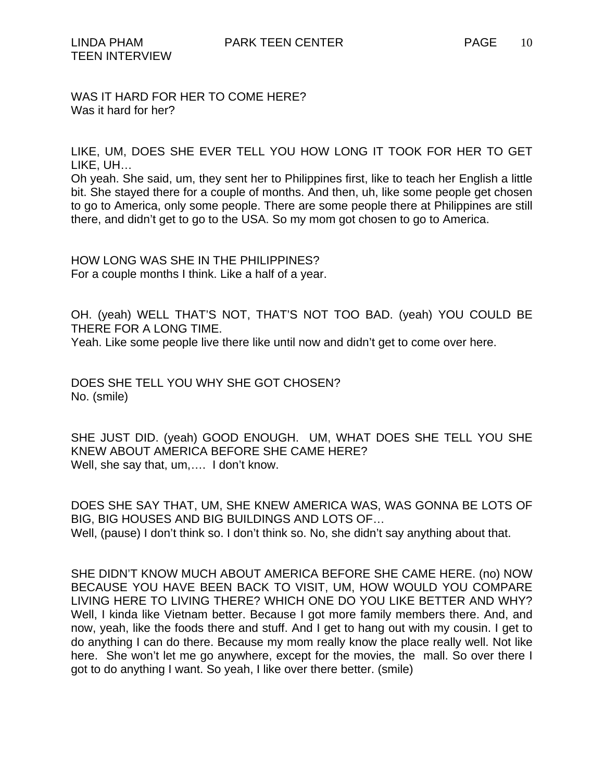WAS IT HARD FOR HER TO COME HERE? Was it hard for her?

LIKE, UM, DOES SHE EVER TELL YOU HOW LONG IT TOOK FOR HER TO GET LIKE, UH…

Oh yeah. She said, um, they sent her to Philippines first, like to teach her English a little bit. She stayed there for a couple of months. And then, uh, like some people get chosen to go to America, only some people. There are some people there at Philippines are still there, and didn't get to go to the USA. So my mom got chosen to go to America.

HOW LONG WAS SHE IN THE PHILIPPINES? For a couple months I think. Like a half of a year.

OH. (yeah) WELL THAT'S NOT, THAT'S NOT TOO BAD. (yeah) YOU COULD BE THERE FOR A LONG TIME.

Yeah. Like some people live there like until now and didn't get to come over here.

DOES SHE TELL YOU WHY SHE GOT CHOSEN? No. (smile)

SHE JUST DID. (yeah) GOOD ENOUGH. UM, WHAT DOES SHE TELL YOU SHE KNEW ABOUT AMERICA BEFORE SHE CAME HERE? Well, she say that, um,…. I don't know.

DOES SHE SAY THAT, UM, SHE KNEW AMERICA WAS, WAS GONNA BE LOTS OF BIG, BIG HOUSES AND BIG BUILDINGS AND LOTS OF… Well, (pause) I don't think so. I don't think so. No, she didn't say anything about that.

SHE DIDN'T KNOW MUCH ABOUT AMERICA BEFORE SHE CAME HERE. (no) NOW BECAUSE YOU HAVE BEEN BACK TO VISIT, UM, HOW WOULD YOU COMPARE LIVING HERE TO LIVING THERE? WHICH ONE DO YOU LIKE BETTER AND WHY? Well, I kinda like Vietnam better. Because I got more family members there. And, and now, yeah, like the foods there and stuff. And I get to hang out with my cousin. I get to do anything I can do there. Because my mom really know the place really well. Not like here. She won't let me go anywhere, except for the movies, the mall. So over there I got to do anything I want. So yeah, I like over there better. (smile)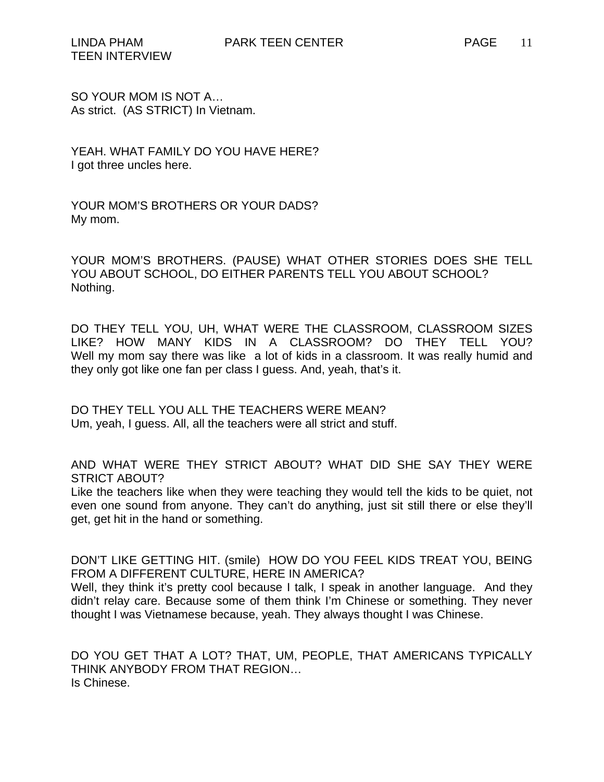SO YOUR MOM IS NOT A… As strict. (AS STRICT) In Vietnam.

YEAH. WHAT FAMILY DO YOU HAVE HERE? I got three uncles here.

YOUR MOM'S BROTHERS OR YOUR DADS? My mom.

YOUR MOM'S BROTHERS. (PAUSE) WHAT OTHER STORIES DOES SHE TELL YOU ABOUT SCHOOL, DO EITHER PARENTS TELL YOU ABOUT SCHOOL? Nothing.

DO THEY TELL YOU, UH, WHAT WERE THE CLASSROOM, CLASSROOM SIZES LIKE? HOW MANY KIDS IN A CLASSROOM? DO THEY TELL YOU? Well my mom say there was like a lot of kids in a classroom. It was really humid and they only got like one fan per class I guess. And, yeah, that's it.

DO THEY TELL YOU ALL THE TEACHERS WERE MEAN? Um, yeah, I guess. All, all the teachers were all strict and stuff.

AND WHAT WERE THEY STRICT ABOUT? WHAT DID SHE SAY THEY WERE STRICT ABOUT?

Like the teachers like when they were teaching they would tell the kids to be quiet, not even one sound from anyone. They can't do anything, just sit still there or else they'll get, get hit in the hand or something.

DON'T LIKE GETTING HIT. (smile) HOW DO YOU FEEL KIDS TREAT YOU, BEING FROM A DIFFERENT CULTURE, HERE IN AMERICA? Well, they think it's pretty cool because I talk, I speak in another language. And they didn't relay care. Because some of them think I'm Chinese or something. They never thought I was Vietnamese because, yeah. They always thought I was Chinese.

DO YOU GET THAT A LOT? THAT, UM, PEOPLE, THAT AMERICANS TYPICALLY THINK ANYBODY FROM THAT REGION… Is Chinese.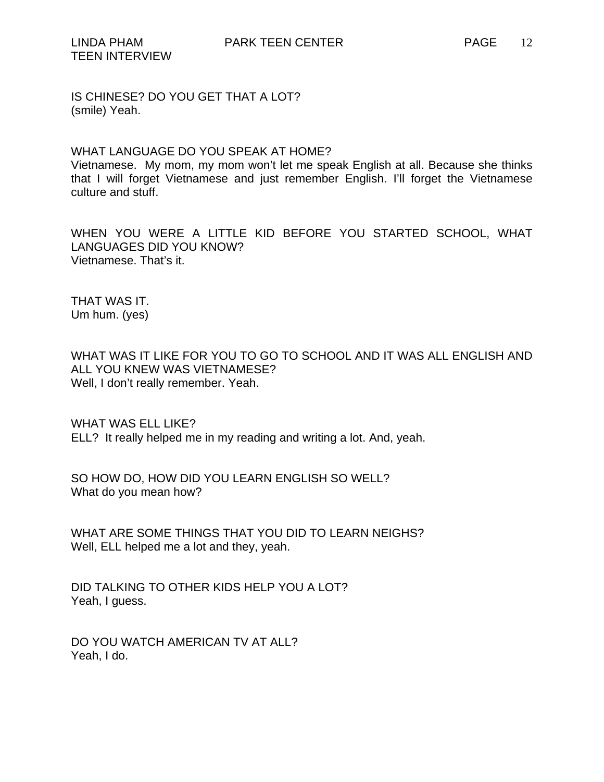IS CHINESE? DO YOU GET THAT A LOT? (smile) Yeah.

## WHAT LANGUAGE DO YOU SPEAK AT HOME?

Vietnamese. My mom, my mom won't let me speak English at all. Because she thinks that I will forget Vietnamese and just remember English. I'll forget the Vietnamese culture and stuff.

WHEN YOU WERE A LITTLE KID BEFORE YOU STARTED SCHOOL, WHAT LANGUAGES DID YOU KNOW? Vietnamese. That's it.

THAT WAS IT. Um hum. (yes)

WHAT WAS IT LIKE FOR YOU TO GO TO SCHOOL AND IT WAS ALL ENGLISH AND ALL YOU KNEW WAS VIETNAMESE? Well, I don't really remember. Yeah.

WHAT WAS ELL LIKE? ELL? It really helped me in my reading and writing a lot. And, yeah.

SO HOW DO, HOW DID YOU LEARN ENGLISH SO WELL? What do you mean how?

WHAT ARE SOME THINGS THAT YOU DID TO LEARN NEIGHS? Well, ELL helped me a lot and they, yeah.

DID TALKING TO OTHER KIDS HELP YOU A LOT? Yeah, I guess.

DO YOU WATCH AMERICAN TV AT ALL? Yeah, I do.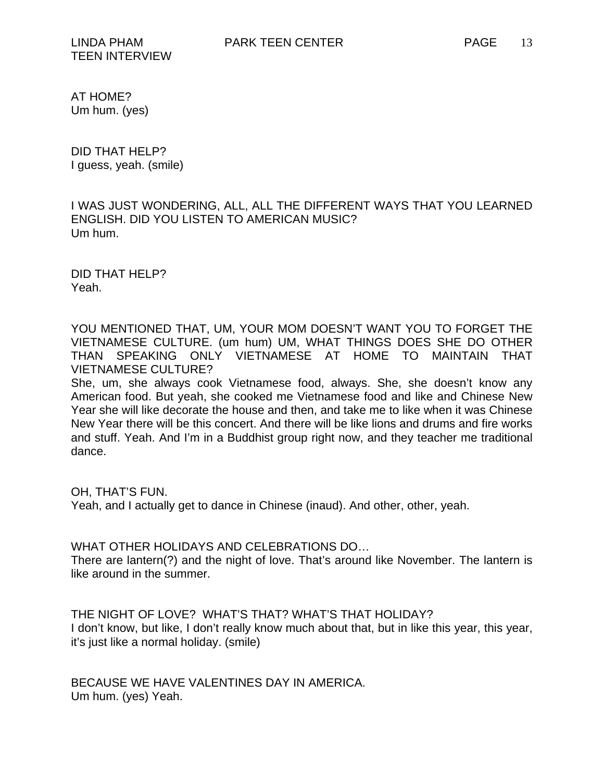TEEN INTERVIEW

AT HOME? Um hum. (yes)

DID THAT HELP? I guess, yeah. (smile)

I WAS JUST WONDERING, ALL, ALL THE DIFFERENT WAYS THAT YOU LEARNED ENGLISH. DID YOU LISTEN TO AMERICAN MUSIC? Um hum.

DID THAT HELP? Yeah.

YOU MENTIONED THAT, UM, YOUR MOM DOESN'T WANT YOU TO FORGET THE VIETNAMESE CULTURE. (um hum) UM, WHAT THINGS DOES SHE DO OTHER THAN SPEAKING ONLY VIETNAMESE AT HOME TO MAINTAIN THAT VIETNAMESE CULTURE?

She, um, she always cook Vietnamese food, always. She, she doesn't know any American food. But yeah, she cooked me Vietnamese food and like and Chinese New Year she will like decorate the house and then, and take me to like when it was Chinese New Year there will be this concert. And there will be like lions and drums and fire works and stuff. Yeah. And I'm in a Buddhist group right now, and they teacher me traditional dance.

OH, THAT'S FUN.

Yeah, and I actually get to dance in Chinese (inaud). And other, other, yeah.

WHAT OTHER HOLIDAYS AND CELEBRATIONS DO…

There are lantern(?) and the night of love. That's around like November. The lantern is like around in the summer.

THE NIGHT OF LOVE? WHAT'S THAT? WHAT'S THAT HOLIDAY? I don't know, but like, I don't really know much about that, but in like this year, this year, it's just like a normal holiday. (smile)

BECAUSE WE HAVE VALENTINES DAY IN AMERICA. Um hum. (yes) Yeah.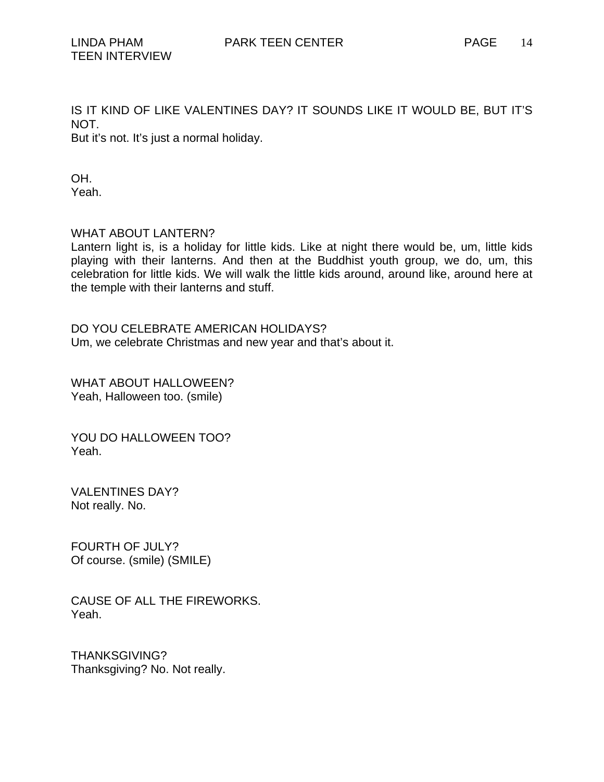IS IT KIND OF LIKE VALENTINES DAY? IT SOUNDS LIKE IT WOULD BE, BUT IT'S NOT. But it's not. It's just a normal holiday.

OH. Yeah.

WHAT ABOUT LANTERN?

Lantern light is, is a holiday for little kids. Like at night there would be, um, little kids playing with their lanterns. And then at the Buddhist youth group, we do, um, this celebration for little kids. We will walk the little kids around, around like, around here at the temple with their lanterns and stuff.

DO YOU CELEBRATE AMERICAN HOLIDAYS? Um, we celebrate Christmas and new year and that's about it.

WHAT ABOUT HALLOWEEN? Yeah, Halloween too. (smile)

YOU DO HALLOWEEN TOO? Yeah.

VALENTINES DAY? Not really. No.

FOURTH OF JULY? Of course. (smile) (SMILE)

CAUSE OF ALL THE FIREWORKS. Yeah.

THANKSGIVING? Thanksgiving? No. Not really.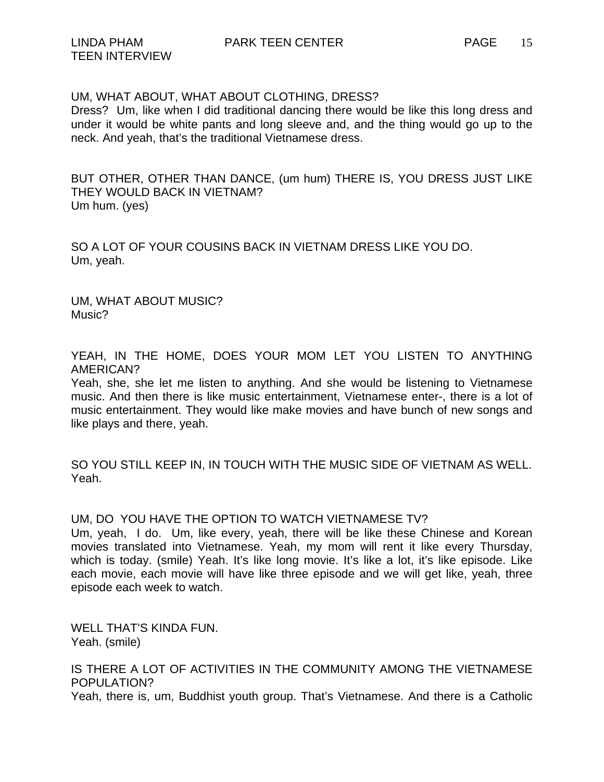Dress? Um, like when I did traditional dancing there would be like this long dress and under it would be white pants and long sleeve and, and the thing would go up to the neck. And yeah, that's the traditional Vietnamese dress.

BUT OTHER, OTHER THAN DANCE, (um hum) THERE IS, YOU DRESS JUST LIKE THEY WOULD BACK IN VIETNAM? Um hum. (yes)

SO A LOT OF YOUR COUSINS BACK IN VIETNAM DRESS LIKE YOU DO. Um, yeah.

UM, WHAT ABOUT MUSIC? Music?

YEAH, IN THE HOME, DOES YOUR MOM LET YOU LISTEN TO ANYTHING AMERICAN?

Yeah, she, she let me listen to anything. And she would be listening to Vietnamese music. And then there is like music entertainment, Vietnamese enter-, there is a lot of music entertainment. They would like make movies and have bunch of new songs and like plays and there, yeah.

SO YOU STILL KEEP IN, IN TOUCH WITH THE MUSIC SIDE OF VIETNAM AS WELL. Yeah.

## UM, DO YOU HAVE THE OPTION TO WATCH VIETNAMESE TV?

Um, yeah, I do. Um, like every, yeah, there will be like these Chinese and Korean movies translated into Vietnamese. Yeah, my mom will rent it like every Thursday, which is today. (smile) Yeah. It's like long movie. It's like a lot, it's like episode. Like each movie, each movie will have like three episode and we will get like, yeah, three episode each week to watch.

WELL THAT'S KINDA FUN. Yeah. (smile)

IS THERE A LOT OF ACTIVITIES IN THE COMMUNITY AMONG THE VIETNAMESE POPULATION?

Yeah, there is, um, Buddhist youth group. That's Vietnamese. And there is a Catholic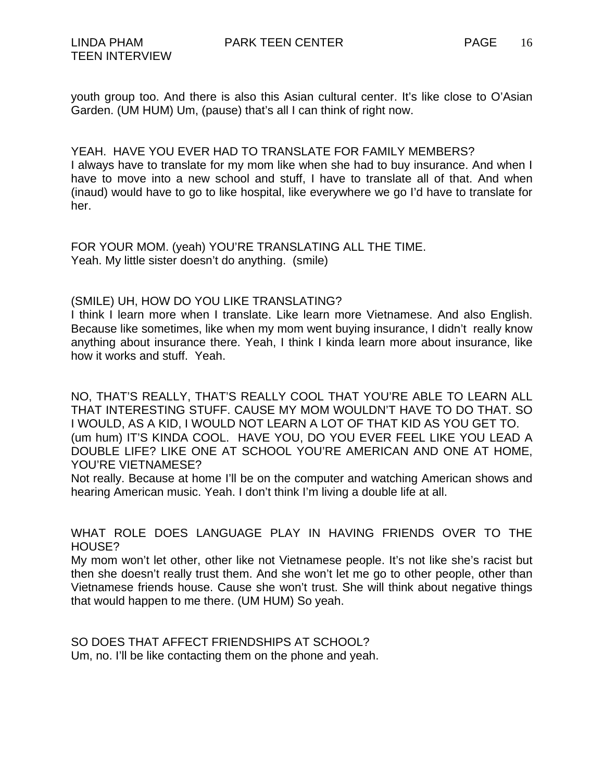youth group too. And there is also this Asian cultural center. It's like close to O'Asian Garden. (UM HUM) Um, (pause) that's all I can think of right now.

YEAH. HAVE YOU EVER HAD TO TRANSLATE FOR FAMILY MEMBERS?

I always have to translate for my mom like when she had to buy insurance. And when I have to move into a new school and stuff, I have to translate all of that. And when (inaud) would have to go to like hospital, like everywhere we go I'd have to translate for her.

FOR YOUR MOM. (yeah) YOU'RE TRANSLATING ALL THE TIME. Yeah. My little sister doesn't do anything. (smile)

## (SMILE) UH, HOW DO YOU LIKE TRANSLATING?

I think I learn more when I translate. Like learn more Vietnamese. And also English. Because like sometimes, like when my mom went buying insurance, I didn't really know anything about insurance there. Yeah, I think I kinda learn more about insurance, like how it works and stuff. Yeah.

NO, THAT'S REALLY, THAT'S REALLY COOL THAT YOU'RE ABLE TO LEARN ALL THAT INTERESTING STUFF. CAUSE MY MOM WOULDN'T HAVE TO DO THAT. SO I WOULD, AS A KID, I WOULD NOT LEARN A LOT OF THAT KID AS YOU GET TO. (um hum) IT'S KINDA COOL. HAVE YOU, DO YOU EVER FEEL LIKE YOU LEAD A DOUBLE LIFE? LIKE ONE AT SCHOOL YOU'RE AMERICAN AND ONE AT HOME, YOU'RE VIETNAMESE?

Not really. Because at home I'll be on the computer and watching American shows and hearing American music. Yeah. I don't think I'm living a double life at all.

WHAT ROLE DOES LANGUAGE PLAY IN HAVING FRIENDS OVER TO THE HOUSE?

My mom won't let other, other like not Vietnamese people. It's not like she's racist but then she doesn't really trust them. And she won't let me go to other people, other than Vietnamese friends house. Cause she won't trust. She will think about negative things that would happen to me there. (UM HUM) So yeah.

SO DOES THAT AFFECT FRIENDSHIPS AT SCHOOL? Um, no. I'll be like contacting them on the phone and yeah.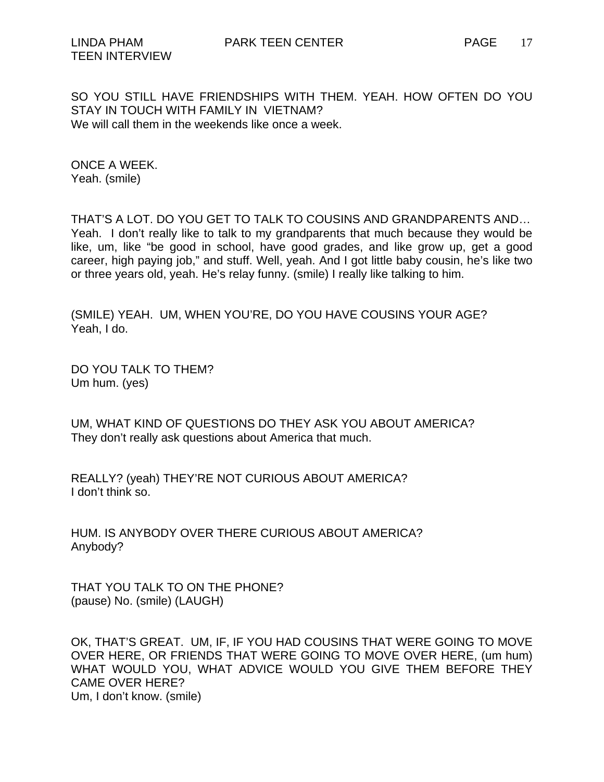SO YOU STILL HAVE FRIENDSHIPS WITH THEM. YEAH. HOW OFTEN DO YOU STAY IN TOUCH WITH FAMILY IN VIETNAM? We will call them in the weekends like once a week.

ONCE A WEEK. Yeah. (smile)

THAT'S A LOT. DO YOU GET TO TALK TO COUSINS AND GRANDPARENTS AND… Yeah. I don't really like to talk to my grandparents that much because they would be like, um, like "be good in school, have good grades, and like grow up, get a good career, high paying job," and stuff. Well, yeah. And I got little baby cousin, he's like two or three years old, yeah. He's relay funny. (smile) I really like talking to him.

(SMILE) YEAH. UM, WHEN YOU'RE, DO YOU HAVE COUSINS YOUR AGE? Yeah, I do.

DO YOU TALK TO THEM? Um hum. (yes)

UM, WHAT KIND OF QUESTIONS DO THEY ASK YOU ABOUT AMERICA? They don't really ask questions about America that much.

REALLY? (yeah) THEY'RE NOT CURIOUS ABOUT AMERICA? I don't think so.

HUM. IS ANYBODY OVER THERE CURIOUS ABOUT AMERICA? Anybody?

THAT YOU TALK TO ON THE PHONE? (pause) No. (smile) (LAUGH)

OK, THAT'S GREAT. UM, IF, IF YOU HAD COUSINS THAT WERE GOING TO MOVE OVER HERE, OR FRIENDS THAT WERE GOING TO MOVE OVER HERE, (um hum) WHAT WOULD YOU, WHAT ADVICE WOULD YOU GIVE THEM BEFORE THEY CAME OVER HERE? Um, I don't know. (smile)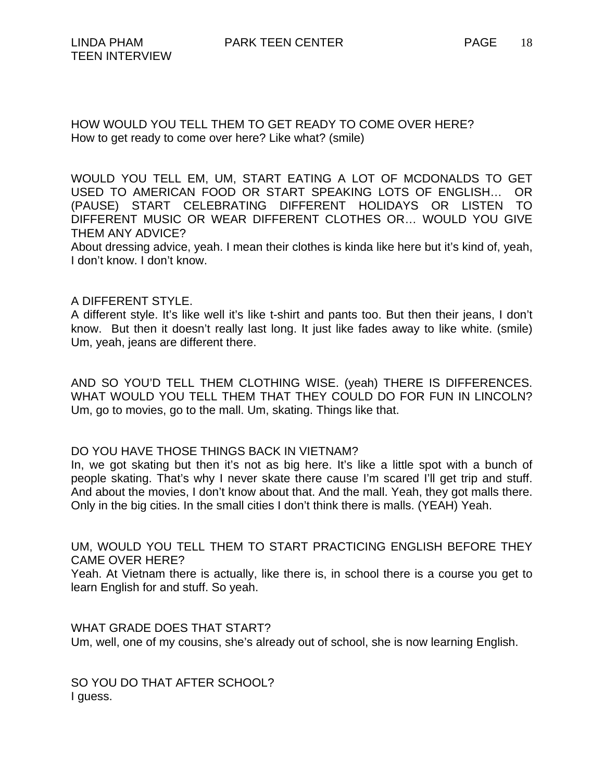HOW WOULD YOU TELL THEM TO GET READY TO COME OVER HERE? How to get ready to come over here? Like what? (smile)

WOULD YOU TELL EM, UM, START EATING A LOT OF MCDONALDS TO GET USED TO AMERICAN FOOD OR START SPEAKING LOTS OF ENGLISH… OR (PAUSE) START CELEBRATING DIFFERENT HOLIDAYS OR LISTEN TO DIFFERENT MUSIC OR WEAR DIFFERENT CLOTHES OR… WOULD YOU GIVE THEM ANY ADVICE?

About dressing advice, yeah. I mean their clothes is kinda like here but it's kind of, yeah, I don't know. I don't know.

## A DIFFERENT STYLE.

A different style. It's like well it's like t-shirt and pants too. But then their jeans, I don't know. But then it doesn't really last long. It just like fades away to like white. (smile) Um, yeah, jeans are different there.

AND SO YOU'D TELL THEM CLOTHING WISE. (yeah) THERE IS DIFFERENCES. WHAT WOULD YOU TELL THEM THAT THEY COULD DO FOR FUN IN LINCOLN? Um, go to movies, go to the mall. Um, skating. Things like that.

## DO YOU HAVE THOSE THINGS BACK IN VIETNAM?

In, we got skating but then it's not as big here. It's like a little spot with a bunch of people skating. That's why I never skate there cause I'm scared I'll get trip and stuff. And about the movies, I don't know about that. And the mall. Yeah, they got malls there. Only in the big cities. In the small cities I don't think there is malls. (YEAH) Yeah.

UM, WOULD YOU TELL THEM TO START PRACTICING ENGLISH BEFORE THEY CAME OVER HERE?

Yeah. At Vietnam there is actually, like there is, in school there is a course you get to learn English for and stuff. So yeah.

WHAT GRADE DOES THAT START? Um, well, one of my cousins, she's already out of school, she is now learning English.

SO YOU DO THAT AFTER SCHOOL? I guess.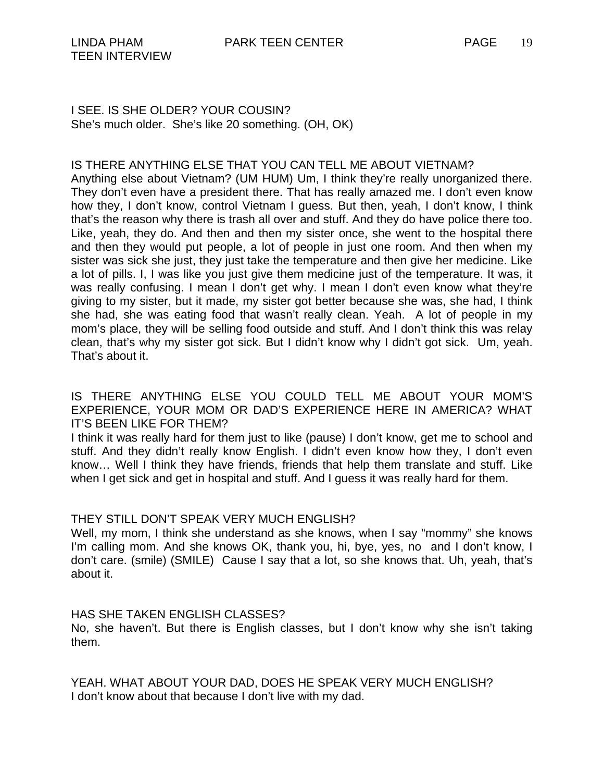## IS THERE ANYTHING ELSE THAT YOU CAN TELL ME ABOUT VIETNAM?

Anything else about Vietnam? (UM HUM) Um, I think they're really unorganized there. They don't even have a president there. That has really amazed me. I don't even know how they, I don't know, control Vietnam I guess. But then, yeah, I don't know, I think that's the reason why there is trash all over and stuff. And they do have police there too. Like, yeah, they do. And then and then my sister once, she went to the hospital there and then they would put people, a lot of people in just one room. And then when my sister was sick she just, they just take the temperature and then give her medicine. Like a lot of pills. I, I was like you just give them medicine just of the temperature. It was, it was really confusing. I mean I don't get why. I mean I don't even know what they're giving to my sister, but it made, my sister got better because she was, she had, I think she had, she was eating food that wasn't really clean. Yeah. A lot of people in my mom's place, they will be selling food outside and stuff. And I don't think this was relay clean, that's why my sister got sick. But I didn't know why I didn't got sick. Um, yeah. That's about it.

IS THERE ANYTHING ELSE YOU COULD TELL ME ABOUT YOUR MOM'S EXPERIENCE, YOUR MOM OR DAD'S EXPERIENCE HERE IN AMERICA? WHAT IT'S BEEN LIKE FOR THEM?

I think it was really hard for them just to like (pause) I don't know, get me to school and stuff. And they didn't really know English. I didn't even know how they, I don't even know… Well I think they have friends, friends that help them translate and stuff. Like when I get sick and get in hospital and stuff. And I guess it was really hard for them.

## THEY STILL DON'T SPEAK VERY MUCH ENGLISH?

Well, my mom, I think she understand as she knows, when I say "mommy" she knows I'm calling mom. And she knows OK, thank you, hi, bye, yes, no and I don't know, I don't care. (smile) (SMILE) Cause I say that a lot, so she knows that. Uh, yeah, that's about it.

HAS SHE TAKEN ENGLISH CLASSES?

No, she haven't. But there is English classes, but I don't know why she isn't taking them.

YEAH. WHAT ABOUT YOUR DAD, DOES HE SPEAK VERY MUCH ENGLISH? I don't know about that because I don't live with my dad.